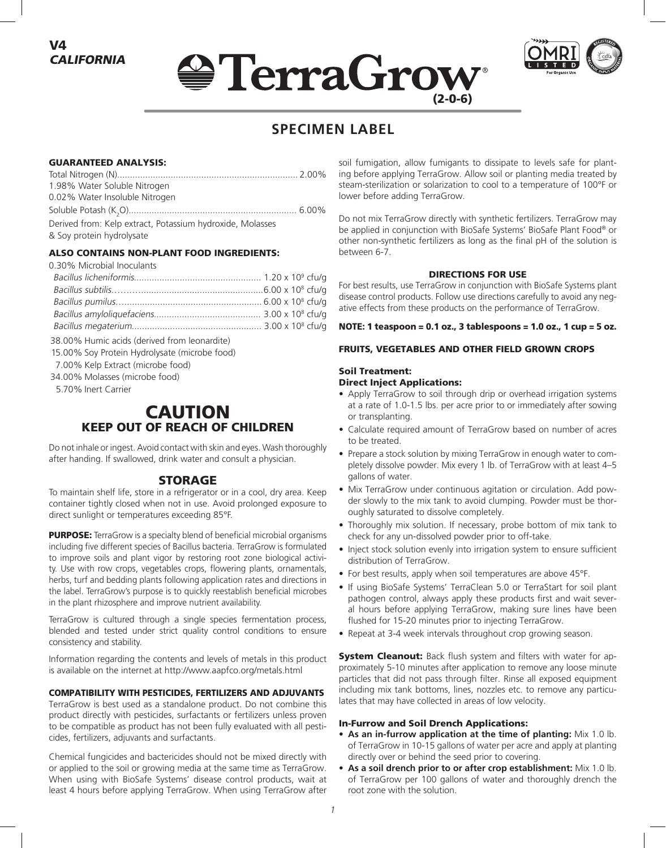





# **SPECIMEN LABEL**

## GUARANTEED ANALYSIS:

| 1.98% Water Soluble Nitrogen                              |  |
|-----------------------------------------------------------|--|
| 0.02% Water Insoluble Nitrogen                            |  |
|                                                           |  |
| Derived from: Kelp extract, Potassium hydroxide, Molasses |  |
| & Soy protein hydrolysate                                 |  |
|                                                           |  |

# ALSO CONTAINS NON-PLANT FOOD INGREDIENTS:

0.30% Microbial Inoculants

38.00% Humic acids (derived from leonardite)

- 15.00% Soy Protein Hydrolysate (microbe food)
- 7.00% Kelp Extract (microbe food)
- 34.00% Molasses (microbe food)

5.70% Inert Carrier

# CAUTION KEEP OUT OF REACH OF CHILDREN

Do not inhale or ingest. Avoid contact with skin and eyes. Wash thoroughly after handing. If swallowed, drink water and consult a physician.

# STORAGE

To maintain shelf life, store in a refrigerator or in a cool, dry area. Keep container tightly closed when not in use. Avoid prolonged exposure to direct sunlight or temperatures exceeding 85°F.

**PURPOSE:** TerraGrow is a specialty blend of beneficial microbial organisms including five different species of Bacillus bacteria. TerraGrow is formulated to improve soils and plant vigor by restoring root zone biological activity. Use with row crops, vegetables crops, flowering plants, ornamentals, herbs, turf and bedding plants following application rates and directions in the label. TerraGrow's purpose is to quickly reestablish beneficial microbes in the plant rhizosphere and improve nutrient availability.

TerraGrow is cultured through a single species fermentation process, blended and tested under strict quality control conditions to ensure consistency and stability.

Information regarding the contents and levels of metals in this product is available on the internet at http://www.aapfco.org/metals.html

# COMPATIBILITY WITH PESTICIDES, FERTILIZERS AND ADJUVANTS

TerraGrow is best used as a standalone product. Do not combine this product directly with pesticides, surfactants or fertilizers unless proven to be compatible as product has not been fully evaluated with all pesticides, fertilizers, adjuvants and surfactants.

Chemical fungicides and bactericides should not be mixed directly with or applied to the soil or growing media at the same time as TerraGrow. When using with BioSafe Systems' disease control products, wait at least 4 hours before applying TerraGrow. When using TerraGrow after

soil fumigation, allow fumigants to dissipate to levels safe for planting before applying TerraGrow. Allow soil or planting media treated by steam-sterilization or solarization to cool to a temperature of 100°F or lower before adding TerraGrow.

Do not mix TerraGrow directly with synthetic fertilizers. TerraGrow may be applied in conjunction with BioSafe Systems' BioSafe Plant Food® or other non-synthetic fertilizers as long as the final pH of the solution is between 6-7.

#### DIRECTIONS FOR USE

For best results, use TerraGrow in conjunction with BioSafe Systems plant disease control products. Follow use directions carefully to avoid any negative effects from these products on the performance of TerraGrow.

#### NOTE: 1 teaspoon = 0.1 oz., 3 tablespoons = 1.0 oz., 1 cup = 5 oz.

#### FRUITS, VEGETABLES AND OTHER FIELD GROWN CROPS

# Soil Treatment:

# Direct Inject Applications:

- Apply TerraGrow to soil through drip or overhead irrigation systems at a rate of 1.0-1.5 lbs. per acre prior to or immediately after sowing or transplanting.
- Calculate required amount of TerraGrow based on number of acres to be treated.
- Prepare a stock solution by mixing TerraGrow in enough water to completely dissolve powder. Mix every 1 lb. of TerraGrow with at least 4–5 gallons of water.
- Mix TerraGrow under continuous agitation or circulation. Add powder slowly to the mix tank to avoid clumping. Powder must be thoroughly saturated to dissolve completely.
- Thoroughly mix solution. If necessary, probe bottom of mix tank to check for any un-dissolved powder prior to off-take.
- Inject stock solution evenly into irrigation system to ensure sufficient distribution of TerraGrow.
- For best results, apply when soil temperatures are above 45°F.
- If using BioSafe Systems' TerraClean 5.0 or TerraStart for soil plant pathogen control, always apply these products first and wait several hours before applying TerraGrow, making sure lines have been flushed for 15-20 minutes prior to injecting TerraGrow.
- Repeat at 3-4 week intervals throughout crop growing season.

**System Cleanout:** Back flush system and filters with water for approximately 5-10 minutes after application to remove any loose minute particles that did not pass through filter. Rinse all exposed equipment including mix tank bottoms, lines, nozzles etc. to remove any particulates that may have collected in areas of low velocity.

#### In-Furrow and Soil Drench Applications:

- **• As an in-furrow application at the time of planting:** Mix 1.0 lb. of TerraGrow in 10-15 gallons of water per acre and apply at planting directly over or behind the seed prior to covering.
- **• As a soil drench prior to or after crop establishment:** Mix 1.0 lb. of TerraGrow per 100 gallons of water and thoroughly drench the root zone with the solution.